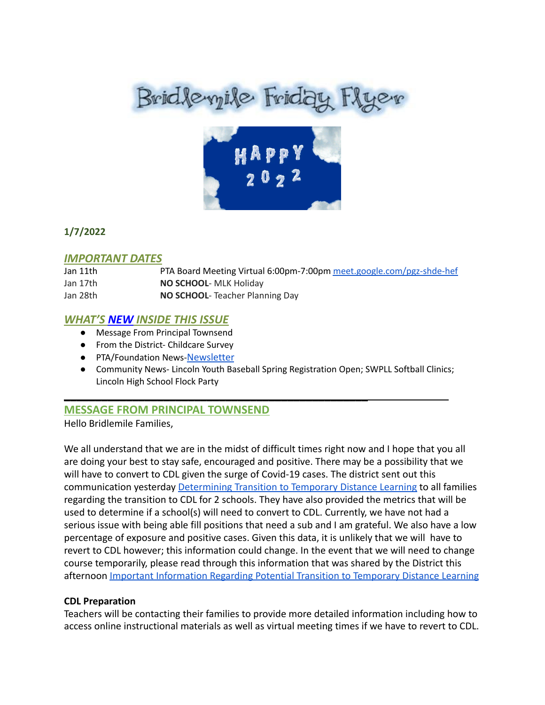# Brid levyile Friday Flyer



# **1/7/2022**

# *IMPORTANT DATES*

| Jan 11th | PTA Board Meeting Virtual 6:00pm-7:00pm meet.google.com/pgz-shde-hef |
|----------|----------------------------------------------------------------------|
| Jan 17th | <b>NO SCHOOL- MLK Holiday</b>                                        |
| Jan 28th | <b>NO SCHOOL-</b> Teacher Planning Day                               |

# *WHAT'S NEW INSIDE THIS ISSUE*

- Message From Principal Townsend
- From the District- Childcare Survey
- PTA/Foundation News-[Newsletter](https://docs.google.com/document/u/1/d/e/2PACX-1vQlZCPHtKxqO7qpJwiwgoeaZ1ERHVLgg6z0JNYJMTulwn7xlOVY_X2I1ZV9nntsGHP57LEZ_uSufaFj/pub)
- Community News- Lincoln Youth Baseball Spring Registration Open; SWPLL Softball Clinics; Lincoln High School Flock Party

# **MESSAGE FROM PRINCIPAL TOWNSEND**

\_\_\_\_\_\_\_\_\_\_\_\_\_\_\_\_\_\_\_\_\_\_\_\_\_\_\_\_\_\_\_\_\_\_\_\_\_\_\_\_\_\_\_\_\_\_\_\_\_

Hello Bridlemile Families,

We all understand that we are in the midst of difficult times right now and I hope that you all are doing your best to stay safe, encouraged and positive. There may be a possibility that we will have to convert to CDL given the surge of Covid-19 cases. The district sent out this communication yesterday Determining Transition to [Temporary Distance Learning](https://www.pps.net/site/default.aspx?PageType=3&DomainID=4&ModuleInstanceID=1492&PageModuleInstanceID=1594&ViewID=ad4d6d9d-7046-48e7-a548-a6a23a68d076&RenderLoc=0&FlexDataID=175117&PageID=1&IsMoreExpandedView=True) to all families regarding the transition to CDL for 2 schools. They have also provided the metrics that will be used to determine if a school(s) will need to convert to CDL. Currently, we have not had a serious issue with being able fill positions that need a sub and I am grateful. We also have a low percentage of exposure and positive cases. Given this data, it is unlikely that we will have to revert to CDL however; this information could change. In the event that we will need to change course temporarily, please read through this information that was shared by the District this afternoon [Important Information Regarding Potential](https://www.pps.net/site/default.aspx?PageType=3&DomainID=4&ModuleInstanceID=1492&PageModuleInstanceID=1594&ViewID=ad4d6d9d-7046-48e7-a548-a6a23a68d076&RenderLoc=0&FlexDataID=175121&PageID=1&IsMoreExpandedView=True) Transition to Temporary Distance Learning

# **CDL Preparation**

Teachers will be contacting their families to provide more detailed information including how to access online instructional materials as well as virtual meeting times if we have to revert to CDL.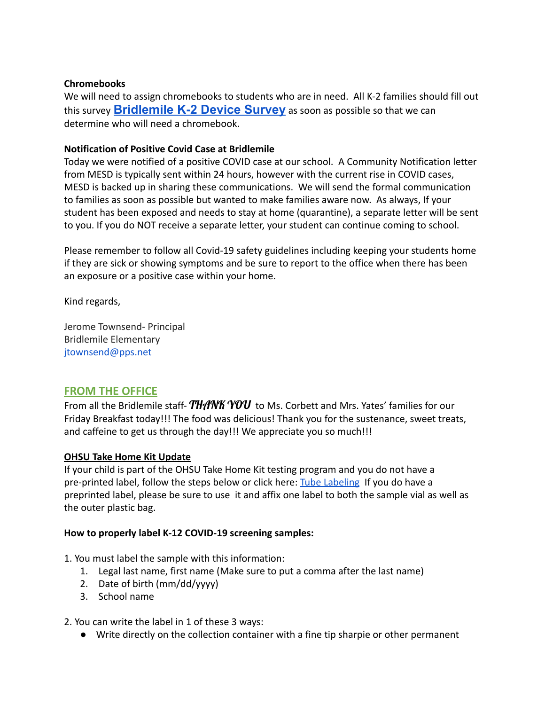## **Chromebooks**

We will need to assign chromebooks to students who are in need. All K-2 families should fill out this survey **[Bridlemile](https://forms.gle/j7cAboXiT5rkP4qe7) K-2 Device Survey** as soon as possible so that we can determine who will need a chromebook.

## **Notification of Positive Covid Case at Bridlemile**

Today we were notified of a positive COVID case at our school. A Community Notification letter from MESD is typically sent within 24 hours, however with the current rise in COVID cases, MESD is backed up in sharing these communications. We will send the formal communication to families as soon as possible but wanted to make families aware now. As always, If your student has been exposed and needs to stay at home (quarantine), a separate letter will be sent to you. If you do NOT receive a separate letter, your student can continue coming to school.

Please remember to follow all Covid-19 safety guidelines including keeping your students home if they are sick or showing symptoms and be sure to report to the office when there has been an exposure or a positive case within your home.

Kind regards,

Jerome Townsend- Principal Bridlemile Elementary jtownsend@pps.net

# **FROM THE OFFICE**

From all the Bridlemile staff-  $THANK$  YOU to Ms. Corbett and Mrs. Yates' families for our Friday Breakfast today!!! The food was delicious! Thank you for the sustenance, sweet treats, and caffeine to get us through the day!!! We appreciate you so much!!!

#### **OHSU Take Home Kit Update**

If your child is part of the OHSU Take Home Kit testing program and you do not have a pre-printed label, follow the steps below or click here: [Tube Labeling](https://drive.google.com/file/d/12DJPgCLKGh6HKLIVwIbdY0qCuDRmFivT/view) If you do have a preprinted label, please be sure to use it and affix one label to both the sample vial as well as the outer plastic bag.

#### **How to properly label K-12 COVID-19 screening samples:**

1. You must label the sample with this information:

- 1. Legal last name, first name (Make sure to put a comma after the last name)
- 2. Date of birth (mm/dd/yyyy)
- 3. School name

2. You can write the label in 1 of these 3 ways:

● Write directly on the collection container with a fine tip sharpie or other permanent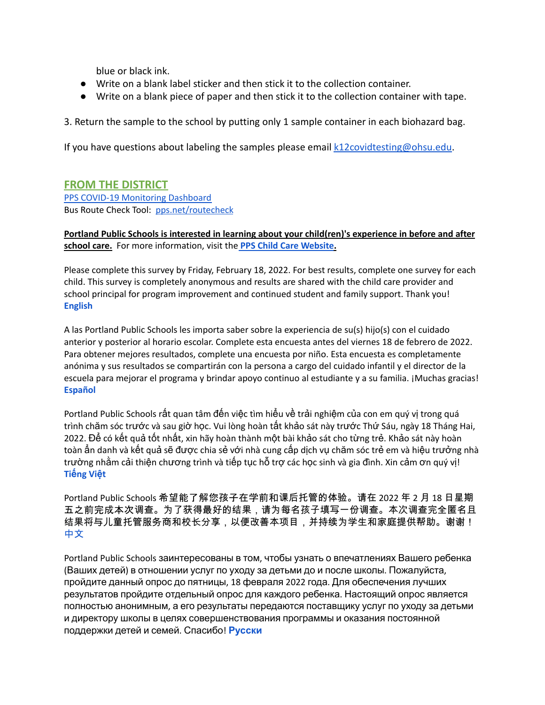blue or black ink.

- Write on a blank label sticker and then stick it to the collection container.
- Write on a blank piece of paper and then stick it to the collection container with tape.

3. Return the sample to the school by putting only 1 sample container in each biohazard bag.

If you have questions about labeling the samples please email  $k12$ covidtesting@ohsu.edu.

# **FROM THE DISTRICT**

PPS COVID-19 [Monitoring](https://www.pps.net/COVID19Dashboard) Dashboard Bus Route Check Tool: [pps.net/routecheck](https://www.pps.net/routecheck)

**Portland Public Schools is interested in learning about your child(ren)'s experience in before and after school care.** For more information, visit the **PPS Child Care [Website](https://www.pps.net/Domain/184).**

Please complete this survey by Friday, February 18, 2022. For best results, complete one survey for each child. This survey is completely anonymous and results are shared with the child care provider and school principal for program improvement and continued student and family support. Thank you[!](https://docs.google.com/forms/d/e/1FAIpQLSe4ju_KHhNDrYUTpQspHOKeHsD30YX7RYNktKVNLNI1ucNepw/viewform) **[English](https://docs.google.com/forms/d/e/1FAIpQLSe4ju_KHhNDrYUTpQspHOKeHsD30YX7RYNktKVNLNI1ucNepw/viewform)**

A las Portland Public Schools les importa saber sobre la experiencia de su(s) hijo(s) con el cuidado anterior y posterior al horario escolar. Complete esta encuesta antes del viernes 18 de febrero de 2022. Para obtener mejores resultados, complete una encuesta por niño. Esta encuesta es completamente anónima y sus resultados se compartirán con la persona a cargo del cuidado infantil y el director de la escuela para mejorar el programa y brindar apoyo continuo al estudiante y a su familia. ¡Muchas gracias! **[Español](https://docs.google.com/forms/d/e/1FAIpQLSfT162f9kmF2K4uFUCeqewRpLVSkIpIzp-Tj-3UrtpjUJC10A/viewform)**

Portland Public Schools rất quan tâm đến việc tìm hiểu về trải nghiệm của con em quý vị trong quá trình chăm sóc trước và sau giờ học. Vui lòng hoàn tất khảo sát này trước Thứ Sáu, ngày 18 Tháng Hai, 2022. Để có kết quả tốt nhất, xin hãy hoàn thành một bài khảo sát cho từng trẻ. Khảo sát này hoàn toàn ẩn danh và kết quả sẽ được chia sẻ với nhà cung cấp dịch vụ chăm sóc trẻ em và hiệu trưởn[g](https://docs.google.com/forms/d/e/1FAIpQLSf0XMr-Rb2DMgB6_FpBuoFk-jj__wrg64UwJMtLo0Cc-N2yzw/viewform) nhà trường nhằm cải thiện chương trình và tiếp tục hỗ trợ các học sinh và gia đình. Xin cảm ơn quý vị! **Tiế[ng](https://docs.google.com/forms/d/e/1FAIpQLSf0XMr-Rb2DMgB6_FpBuoFk-jj__wrg64UwJMtLo0Cc-N2yzw/viewform) Việt**

Portland Public Schools 希望能了解您孩子在学前和课后托管的体验。请在 2022 年 2 月 18 日星期 五之前完成本次调查。为了获得最好的结果,请为每名孩子填写一份调查。本次调查完全匿名且 结果将与儿童托管服务商和校长分享,以便改善本项目,并持续为学生和家庭提供帮助。谢谢! [中文](https://docs.google.com/forms/d/e/1FAIpQLSfwtKUiF46xdxHEOT7q2SE5Mv1-RN1LJZEtgrvzhQOtRVDiuw/viewform)

Portland Public Schools заинтересованы в том, чтобы узнать о впечатлениях Вашего ребенка (Ваших детей) в отношении услуг по уходу за детьми до и после школы. Пожалуйста, пройдите данный опрос до пятницы, 18 февраля 2022 года. Для обеспечения лучших результатов пройдите отдельный опрос для каждого ребенка. Настоящий опрос является полностью анонимным, а его результаты передаются поставщику услуг по уходу за детьми и директору школы в целях совершенствования программы и оказания постоянной поддержки детей и семей. Спасибо! **[Русски](https://docs.google.com/forms/d/e/1FAIpQLSebLU_9cDi8U-m8LxcMbt13b2FISUl9npq3zj9Jx0R7epIgYg/viewform)**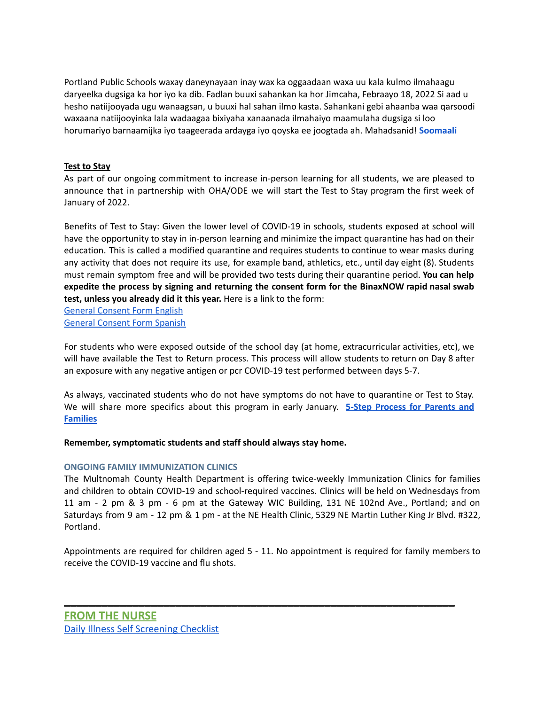Portland Public Schools waxay daneynayaan inay wax ka oggaadaan waxa uu kala kulmo ilmahaagu daryeelka dugsiga ka hor iyo ka dib. Fadlan buuxi sahankan ka hor Jimcaha, Febraayo 18, 2022 Si aad u hesho natiijooyada ugu wanaagsan, u buuxi hal sahan ilmo kasta. Sahankani gebi ahaanba waa qarsoodi waxaana natiijooyinka lala wadaagaa bixiyaha xanaanada ilmahaiyo maamulaha dugsiga si loo horumariyo barnaamijka iyo taageerada ardayga iyo qoyska ee joogtada ah. Mahadsanid! **[Soomaali](https://docs.google.com/forms/d/e/1FAIpQLSee-BW5UjE-UACVQLN-oEQLaI5PwcaA0FswL5tMSqPZW09qlA/viewform)**

#### **Test to Stay**

As part of our ongoing commitment to increase in-person learning for all students, we are pleased to announce that in partnership with OHA/ODE we will start the Test to Stay program the first week of January of 2022.

Benefits of Test to Stay: Given the lower level of COVID-19 in schools, students exposed at school will have the opportunity to stay in in-person learning and minimize the impact quarantine has had on their education. This is called a modified quarantine and requires students to continue to wear masks during any activity that does not require its use, for example band, athletics, etc., until day eight (8). Students must remain symptom free and will be provided two tests during their quarantine period. **You can help expedite the process by signing and returning the consent form for the BinaxNOW rapid nasal swab test, unless you already did it this year.** Here is a link to the form:

General [Consent](https://sharedsystems.dhsoha.state.or.us/DHSForms/Served/le3560e.pdf) Form English General [Consent](https://sharedsystems.dhsoha.state.or.us/DHSForms/Served/ls3560e.pdf) Form Spanish

For students who were exposed outside of the school day (at home, extracurricular activities, etc), we will have available the Test to Return process. This process will allow students to return on Day 8 after an exposure with any negative antigen or pcr COVID-19 test performed between days 5-7.

As always, vaccinated students who do not have symptoms do not have to quarantine or Test to Stay. We will share more specifics about this program in early January. **5-Step [Process](https://sharedsystems.dhsoha.state.or.us/DHSForms/Served/le1129280.pdf) for Parents and [Families](https://sharedsystems.dhsoha.state.or.us/DHSForms/Served/le1129280.pdf)**

**Remember, symptomatic students and staff should always stay home.**

#### **ONGOING FAMILY IMMUNIZATION CLINICS**

The Multnomah County Health Department is offering twice-weekly Immunization Clinics for families and children to obtain COVID-19 and school-required vaccines. Clinics will be held on Wednesdays from 11 am - 2 pm & 3 pm - 6 pm at the Gateway WIC Building, 131 NE 102nd Ave., Portland; and on Saturdays from 9 am - 12 pm & 1 pm - at the NE Health Clinic, 5329 NE Martin Luther King Jr Blvd. #322, Portland.

Appointments are required for children aged 5 - 11. No appointment is required for family members to receive the COVID-19 vaccine and flu shots.

**\_\_\_\_\_\_\_\_\_\_\_\_\_\_\_\_\_\_\_\_\_\_\_\_\_\_\_\_\_\_\_\_\_\_\_\_\_\_\_\_\_\_\_\_\_\_\_\_\_\_\_\_\_\_\_\_\_\_\_\_\_\_\_**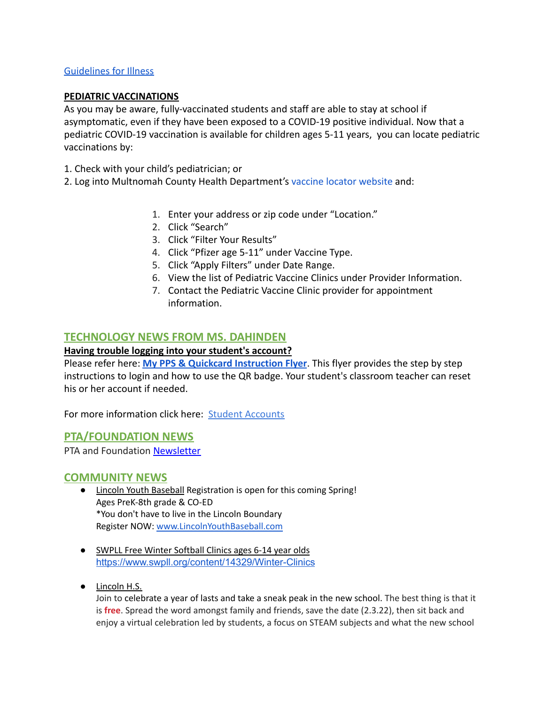## [Guidelines for Illness](https://dochub.com/dburling/8YZWO9NV8gOAj8zKzEAy30/guidelines-for-illness-and-school-pdf?dt=PUWvfPjC-jaRG37TLi8v)

#### **PEDIATRIC VACCINATIONS**

As you may be aware, fully-vaccinated students and staff are able to stay at school if asymptomatic, even if they have been exposed to a COVID-19 positive individual. Now that a pediatric COVID-19 vaccination is available for children ages 5-11 years, you can locate pediatric vaccinations by:

1. Check with your child's pediatrician; or

2. Log into Multnomah County Health Department's vaccine [locator website](https://getvaccinated.oregon.gov/#/locator) and:

- 1. Enter your address or zip code under "Location."
- 2. Click "Search"
- 3. Click "Filter Your Results"
- 4. Click "Pfizer age 5-11" under Vaccine Type.
- 5. Click "Apply Filters" under Date Range.
- 6. View the list of Pediatric Vaccine Clinics under Provider Information.
- 7. Contact the Pediatric Vaccine Clinic provider for appointment information.

# **TECHNOLOGY NEWS FROM MS. DAHINDEN**

#### **Having trouble logging into your student's account?**

Please refer here: **[My PPS & Quickcard Instruction](https://docs.google.com/presentation/d/19yIcV1uxbkuSpc0Gd_p5t0V--EJk0WPrv9ZbscbQiQU/edit?usp=sharing) Flyer**. This flyer provides the step by step instructions to login and how to use the QR badge. Your student's classroom teacher can reset his or her account if needed.

For more information click here: [Student Accounts](https://www.pps.net/Page/1910)

# **PTA/FOUNDATION NEWS**

PTA and Foundation [Newsletter](https://docs.google.com/document/u/1/d/e/2PACX-1vQlZCPHtKxqO7qpJwiwgoeaZ1ERHVLgg6z0JNYJMTulwn7xlOVY_X2I1ZV9nntsGHP57LEZ_uSufaFj/pub)

#### **COMMUNITY NEWS**

- Lincoln Youth Baseball Registration is open for this coming Spring! Ages PreK-8th grade & CO-ED \*You don't have to live in the Lincoln Boundary Register NOW: [www.LincolnYouthBaseball.com](http://www.lincolnyouthbaseball.com/)
- SWPLL Free Winter Softball Clinics ages 6-14 year olds <https://www.swpll.org/content/14329/Winter-Clinics>
- Lincoln H.S.

Join to celebrate a year of lasts and take a sneak peak in the new school. The best thing is that it is **free**. Spread the word amongst family and friends, save the date (2.3.22), then sit back and enjoy a virtual celebration led by students, a focus on STEAM subjects and what the new school